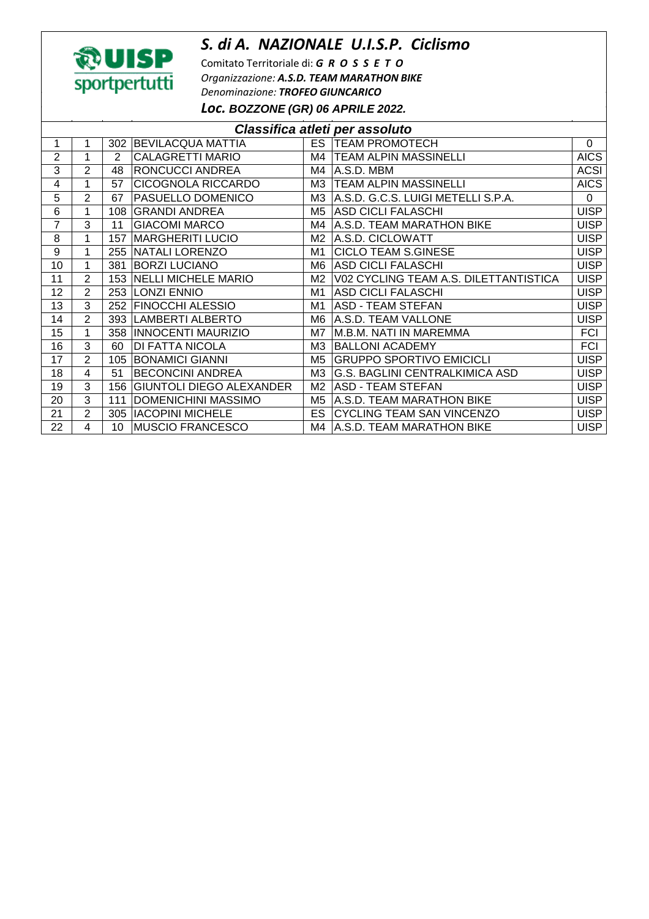## *S. di A. NAZIONALE U.I.S.P. Ciclismo*



Comitato Territoriale di: *G R O S S E T O Organizzazione: A.S.D. TEAM MARATHON BIKE Denominazione: TROFEO GIUNCARICO* 

*Loc.* **BOZZONE (GR) 06 APRILE 2022.** 

| Classifica atleti per assoluto |                |     |                                 |                |                                       |             |
|--------------------------------|----------------|-----|---------------------------------|----------------|---------------------------------------|-------------|
| 1                              | 1              |     | 302 BEVILACQUA MATTIA           |                | <b>ES TEAM PROMOTECH</b>              | $\pmb{0}$   |
| $\overline{2}$                 |                | 2   | <b>CALAGRETTI MARIO</b>         | M4             | TEAM ALPIN MASSINELLI                 | <b>AICS</b> |
| 3                              | $\overline{2}$ | 48  | RONCUCCI ANDREA                 | M4             | A.S.D. MBM                            | <b>ACSI</b> |
| 4                              | 1              | 57  | <b>CICOGNOLA RICCARDO</b>       | M3             | <b>TEAM ALPIN MASSINELLI</b>          | <b>AICS</b> |
| 5                              | 2              | 67  | PASUELLO DOMENICO               | M3.            | A.S.D. G.C.S. LUIGI METELLI S.P.A.    | 0           |
| 6                              | 1              | 108 | <b>GRANDI ANDREA</b>            | M <sub>5</sub> | <b>ASD CICLI FALASCHI</b>             | <b>UISP</b> |
| 7                              | 3              | 11  | <b>GIACOMI MARCO</b>            | M4             | A.S.D. TEAM MARATHON BIKE             | <b>UISP</b> |
| 8                              | 1              | 157 | <b>MARGHERITI LUCIO</b>         | M2             | A.S.D. CICLOWATT                      | <b>UISP</b> |
| 9                              | 1              |     | 255 NATALI LORENZO              | M1             | <b>CICLO TEAM S.GINESE</b>            | <b>UISP</b> |
| 10                             | 1              | 381 | <b>BORZI LUCIANO</b>            | M6             | <b>ASD CICLI FALASCHI</b>             | <b>UISP</b> |
| 11                             | $\overline{2}$ |     | 153 NELLI MICHELE MARIO         | M <sub>2</sub> | V02 CYCLING TEAM A.S. DILETTANTISTICA | <b>UISP</b> |
| 12                             | 2              | 253 | <b>LONZI ENNIO</b>              | M1             | <b>ASD CICLI FALASCHI</b>             | <b>UISP</b> |
| 13                             | 3              |     | 252 FINOCCHI ALESSIO            | M1             | <b>ASD - TEAM STEFAN</b>              | <b>UISP</b> |
| 14                             | 2              |     | 393 LAMBERTI ALBERTO            | M6             | A.S.D. TEAM VALLONE                   | <b>UISP</b> |
| 15                             | 1              | 358 | <b>INNOCENTI MAURIZIO</b>       | M7             | <b>M.B.M. NATI IN MAREMMA</b>         | <b>FCI</b>  |
| 16                             | 3              | 60  | DI FATTA NICOLA                 | M <sub>3</sub> | <b>BALLONI ACADEMY</b>                | <b>FCI</b>  |
| 17                             | 2              | 105 | <b>BONAMICI GIANNI</b>          | M <sub>5</sub> | <b>GRUPPO SPORTIVO EMICICLI</b>       | <b>UISP</b> |
| 18                             | $\overline{4}$ | 51  | <b>BECONCINI ANDREA</b>         | ΜЗ             | <b>G.S. BAGLINI CENTRALKIMICA ASD</b> | <b>UISP</b> |
| 19                             | 3              | 156 | <b>GIUNTOLI DIEGO ALEXANDER</b> | M2             | <b>ASD - TEAM STEFAN</b>              | <b>UISP</b> |
| 20                             | 3              | 111 | DOMENICHINI MASSIMO             | M <sub>5</sub> | A.S.D. TEAM MARATHON BIKE             | <b>UISP</b> |
| 21                             | $\overline{2}$ | 305 | <b>IACOPINI MICHELE</b>         | ES             | CYCLING TEAM SAN VINCENZO             | <b>UISP</b> |
| 22                             | 4              | 10  | <b>MUSCIO FRANCESCO</b>         |                | M4   A.S.D. TEAM MARATHON BIKE        | <b>UISP</b> |